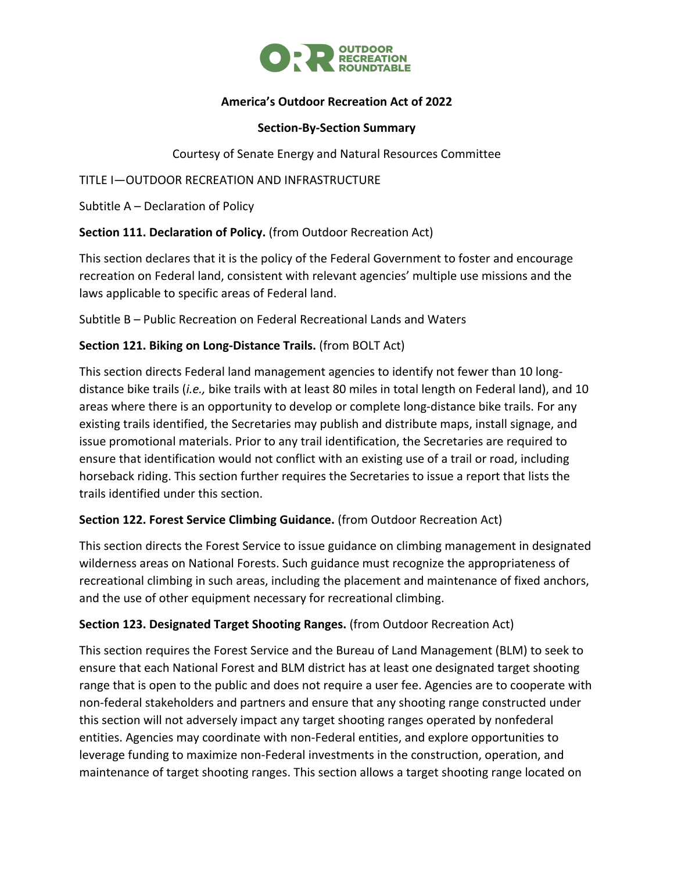

## **America's Outdoor Recreation Act of 2022**

#### **Section-By-Section Summary**

Courtesy of Senate Energy and Natural Resources Committee

TITLE I—OUTDOOR RECREATION AND INFRASTRUCTURE

Subtitle A – Declaration of Policy

**Section 111. Declaration of Policy.** (from Outdoor Recreation Act)

This section declares that it is the policy of the Federal Government to foster and encourage recreation on Federal land, consistent with relevant agencies' multiple use missions and the laws applicable to specific areas of Federal land.

Subtitle B – Public Recreation on Federal Recreational Lands and Waters

## **Section 121. Biking on Long-Distance Trails.** (from BOLT Act)

This section directs Federal land management agencies to identify not fewer than 10 longdistance bike trails (*i.e.,* bike trails with at least 80 miles in total length on Federal land), and 10 areas where there is an opportunity to develop or complete long-distance bike trails. For any existing trails identified, the Secretaries may publish and distribute maps, install signage, and issue promotional materials. Prior to any trail identification, the Secretaries are required to ensure that identification would not conflict with an existing use of a trail or road, including horseback riding. This section further requires the Secretaries to issue a report that lists the trails identified under this section.

## **Section 122. Forest Service Climbing Guidance.** (from Outdoor Recreation Act)

This section directs the Forest Service to issue guidance on climbing management in designated wilderness areas on National Forests. Such guidance must recognize the appropriateness of recreational climbing in such areas, including the placement and maintenance of fixed anchors, and the use of other equipment necessary for recreational climbing.

#### **Section 123. Designated Target Shooting Ranges.** (from Outdoor Recreation Act)

This section requires the Forest Service and the Bureau of Land Management (BLM) to seek to ensure that each National Forest and BLM district has at least one designated target shooting range that is open to the public and does not require a user fee. Agencies are to cooperate with non-federal stakeholders and partners and ensure that any shooting range constructed under this section will not adversely impact any target shooting ranges operated by nonfederal entities. Agencies may coordinate with non-Federal entities, and explore opportunities to leverage funding to maximize non-Federal investments in the construction, operation, and maintenance of target shooting ranges. This section allows a target shooting range located on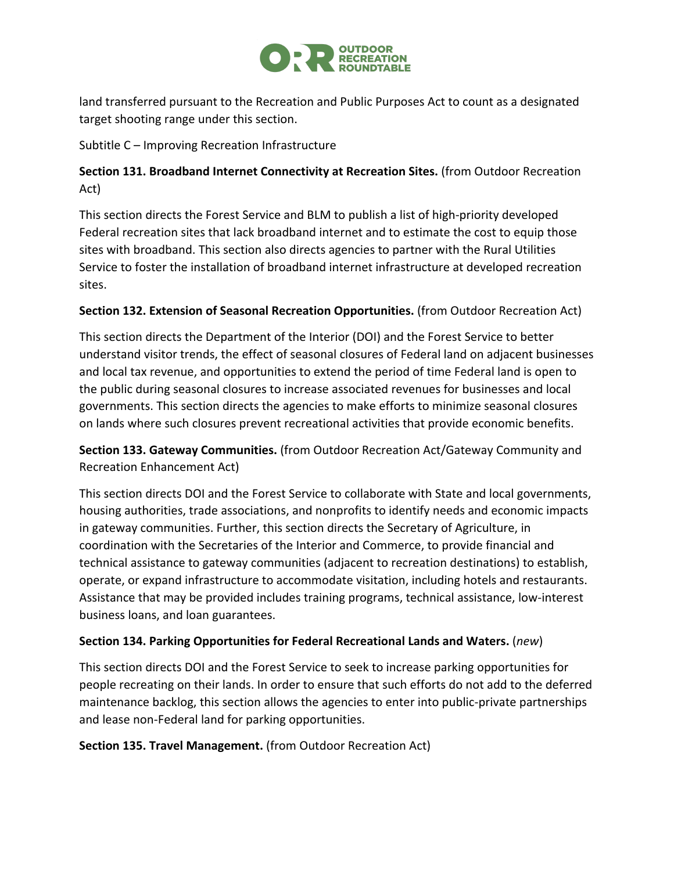

land transferred pursuant to the Recreation and Public Purposes Act to count as a designated target shooting range under this section.

Subtitle C – Improving Recreation Infrastructure

# **Section 131. Broadband Internet Connectivity at Recreation Sites.** (from Outdoor Recreation Act)

This section directs the Forest Service and BLM to publish a list of high-priority developed Federal recreation sites that lack broadband internet and to estimate the cost to equip those sites with broadband. This section also directs agencies to partner with the Rural Utilities Service to foster the installation of broadband internet infrastructure at developed recreation sites.

# **Section 132. Extension of Seasonal Recreation Opportunities.** (from Outdoor Recreation Act)

This section directs the Department of the Interior (DOI) and the Forest Service to better understand visitor trends, the effect of seasonal closures of Federal land on adjacent businesses and local tax revenue, and opportunities to extend the period of time Federal land is open to the public during seasonal closures to increase associated revenues for businesses and local governments. This section directs the agencies to make efforts to minimize seasonal closures on lands where such closures prevent recreational activities that provide economic benefits.

**Section 133. Gateway Communities.** (from Outdoor Recreation Act/Gateway Community and Recreation Enhancement Act)

This section directs DOI and the Forest Service to collaborate with State and local governments, housing authorities, trade associations, and nonprofits to identify needs and economic impacts in gateway communities. Further, this section directs the Secretary of Agriculture, in coordination with the Secretaries of the Interior and Commerce, to provide financial and technical assistance to gateway communities (adjacent to recreation destinations) to establish, operate, or expand infrastructure to accommodate visitation, including hotels and restaurants. Assistance that may be provided includes training programs, technical assistance, low-interest business loans, and loan guarantees.

# **Section 134. Parking Opportunities for Federal Recreational Lands and Waters.** (*new*)

This section directs DOI and the Forest Service to seek to increase parking opportunities for people recreating on their lands. In order to ensure that such efforts do not add to the deferred maintenance backlog, this section allows the agencies to enter into public-private partnerships and lease non-Federal land for parking opportunities.

## **Section 135. Travel Management.** (from Outdoor Recreation Act)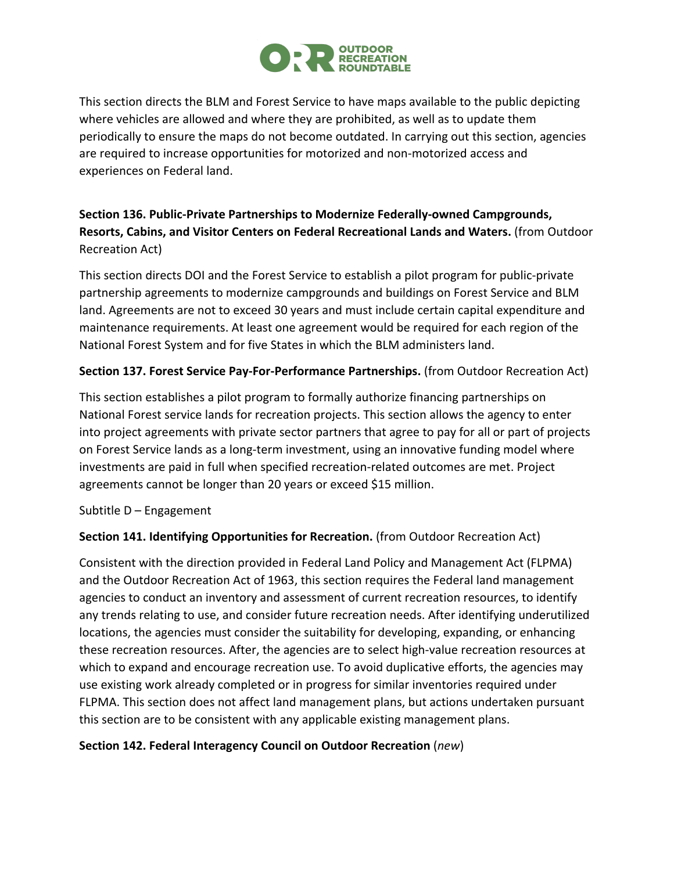

This section directs the BLM and Forest Service to have maps available to the public depicting where vehicles are allowed and where they are prohibited, as well as to update them periodically to ensure the maps do not become outdated. In carrying out this section, agencies are required to increase opportunities for motorized and non-motorized access and experiences on Federal land.

# **Section 136. Public-Private Partnerships to Modernize Federally-owned Campgrounds, Resorts, Cabins, and Visitor Centers on Federal Recreational Lands and Waters.** (from Outdoor Recreation Act)

This section directs DOI and the Forest Service to establish a pilot program for public-private partnership agreements to modernize campgrounds and buildings on Forest Service and BLM land. Agreements are not to exceed 30 years and must include certain capital expenditure and maintenance requirements. At least one agreement would be required for each region of the National Forest System and for five States in which the BLM administers land.

## **Section 137. Forest Service Pay-For-Performance Partnerships.** (from Outdoor Recreation Act)

This section establishes a pilot program to formally authorize financing partnerships on National Forest service lands for recreation projects. This section allows the agency to enter into project agreements with private sector partners that agree to pay for all or part of projects on Forest Service lands as a long-term investment, using an innovative funding model where investments are paid in full when specified recreation-related outcomes are met. Project agreements cannot be longer than 20 years or exceed \$15 million.

## Subtitle D – Engagement

## **Section 141. Identifying Opportunities for Recreation.** (from Outdoor Recreation Act)

Consistent with the direction provided in Federal Land Policy and Management Act (FLPMA) and the Outdoor Recreation Act of 1963, this section requires the Federal land management agencies to conduct an inventory and assessment of current recreation resources, to identify any trends relating to use, and consider future recreation needs. After identifying underutilized locations, the agencies must consider the suitability for developing, expanding, or enhancing these recreation resources. After, the agencies are to select high-value recreation resources at which to expand and encourage recreation use. To avoid duplicative efforts, the agencies may use existing work already completed or in progress for similar inventories required under FLPMA. This section does not affect land management plans, but actions undertaken pursuant this section are to be consistent with any applicable existing management plans.

## **Section 142. Federal Interagency Council on Outdoor Recreation** (*new*)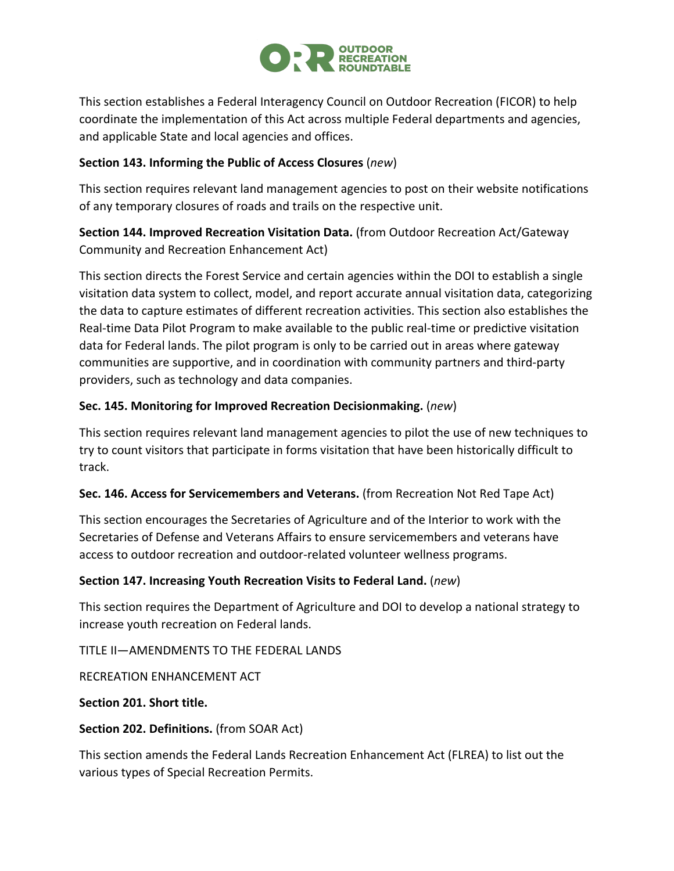

This section establishes a Federal Interagency Council on Outdoor Recreation (FICOR) to help coordinate the implementation of this Act across multiple Federal departments and agencies, and applicable State and local agencies and offices.

### **Section 143. Informing the Public of Access Closures** (*new*)

This section requires relevant land management agencies to post on their website notifications of any temporary closures of roads and trails on the respective unit.

# **Section 144. Improved Recreation Visitation Data.** (from Outdoor Recreation Act/Gateway Community and Recreation Enhancement Act)

This section directs the Forest Service and certain agencies within the DOI to establish a single visitation data system to collect, model, and report accurate annual visitation data, categorizing the data to capture estimates of different recreation activities. This section also establishes the Real-time Data Pilot Program to make available to the public real-time or predictive visitation data for Federal lands. The pilot program is only to be carried out in areas where gateway communities are supportive, and in coordination with community partners and third-party providers, such as technology and data companies.

### **Sec. 145. Monitoring for Improved Recreation Decisionmaking.** (*new*)

This section requires relevant land management agencies to pilot the use of new techniques to try to count visitors that participate in forms visitation that have been historically difficult to track.

## **Sec. 146. Access for Servicemembers and Veterans.** (from Recreation Not Red Tape Act)

This section encourages the Secretaries of Agriculture and of the Interior to work with the Secretaries of Defense and Veterans Affairs to ensure servicemembers and veterans have access to outdoor recreation and outdoor-related volunteer wellness programs.

## **Section 147. Increasing Youth Recreation Visits to Federal Land.** (*new*)

This section requires the Department of Agriculture and DOI to develop a national strategy to increase youth recreation on Federal lands.

TITLE II—AMENDMENTS TO THE FEDERAL LANDS

RECREATION ENHANCEMENT ACT

#### **Section 201. Short title.**

#### **Section 202. Definitions.** (from SOAR Act)

This section amends the Federal Lands Recreation Enhancement Act (FLREA) to list out the various types of Special Recreation Permits.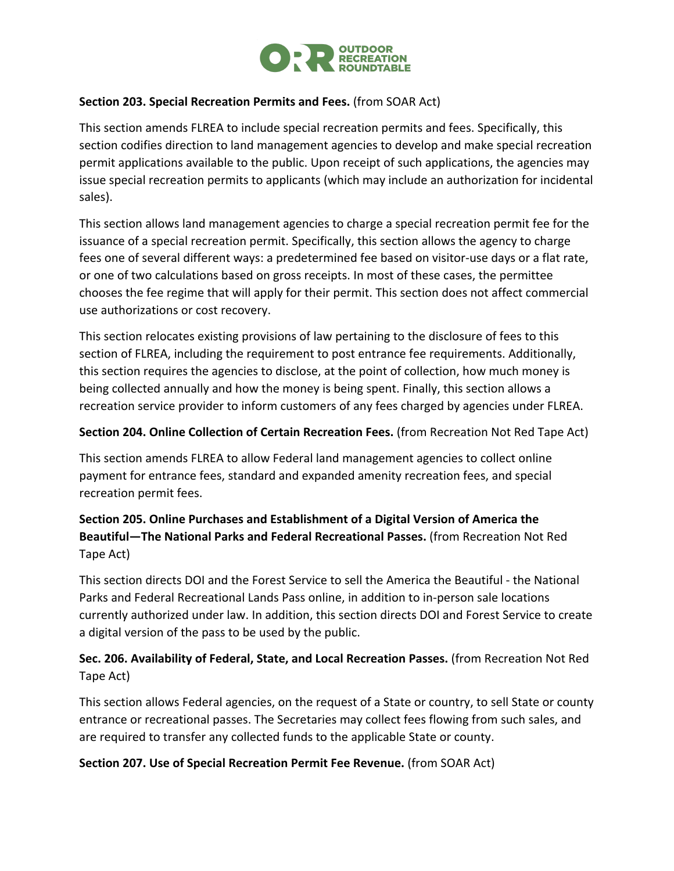

### **Section 203. Special Recreation Permits and Fees.** (from SOAR Act)

This section amends FLREA to include special recreation permits and fees. Specifically, this section codifies direction to land management agencies to develop and make special recreation permit applications available to the public. Upon receipt of such applications, the agencies may issue special recreation permits to applicants (which may include an authorization for incidental sales).

This section allows land management agencies to charge a special recreation permit fee for the issuance of a special recreation permit. Specifically, this section allows the agency to charge fees one of several different ways: a predetermined fee based on visitor-use days or a flat rate, or one of two calculations based on gross receipts. In most of these cases, the permittee chooses the fee regime that will apply for their permit. This section does not affect commercial use authorizations or cost recovery.

This section relocates existing provisions of law pertaining to the disclosure of fees to this section of FLREA, including the requirement to post entrance fee requirements. Additionally, this section requires the agencies to disclose, at the point of collection, how much money is being collected annually and how the money is being spent. Finally, this section allows a recreation service provider to inform customers of any fees charged by agencies under FLREA.

#### **Section 204. Online Collection of Certain Recreation Fees.** (from Recreation Not Red Tape Act)

This section amends FLREA to allow Federal land management agencies to collect online payment for entrance fees, standard and expanded amenity recreation fees, and special recreation permit fees.

# **Section 205. Online Purchases and Establishment of a Digital Version of America the Beautiful—The National Parks and Federal Recreational Passes.** (from Recreation Not Red Tape Act)

This section directs DOI and the Forest Service to sell the America the Beautiful - the National Parks and Federal Recreational Lands Pass online, in addition to in-person sale locations currently authorized under law. In addition, this section directs DOI and Forest Service to create a digital version of the pass to be used by the public.

# **Sec. 206. Availability of Federal, State, and Local Recreation Passes.** (from Recreation Not Red Tape Act)

This section allows Federal agencies, on the request of a State or country, to sell State or county entrance or recreational passes. The Secretaries may collect fees flowing from such sales, and are required to transfer any collected funds to the applicable State or county.

#### **Section 207. Use of Special Recreation Permit Fee Revenue.** (from SOAR Act)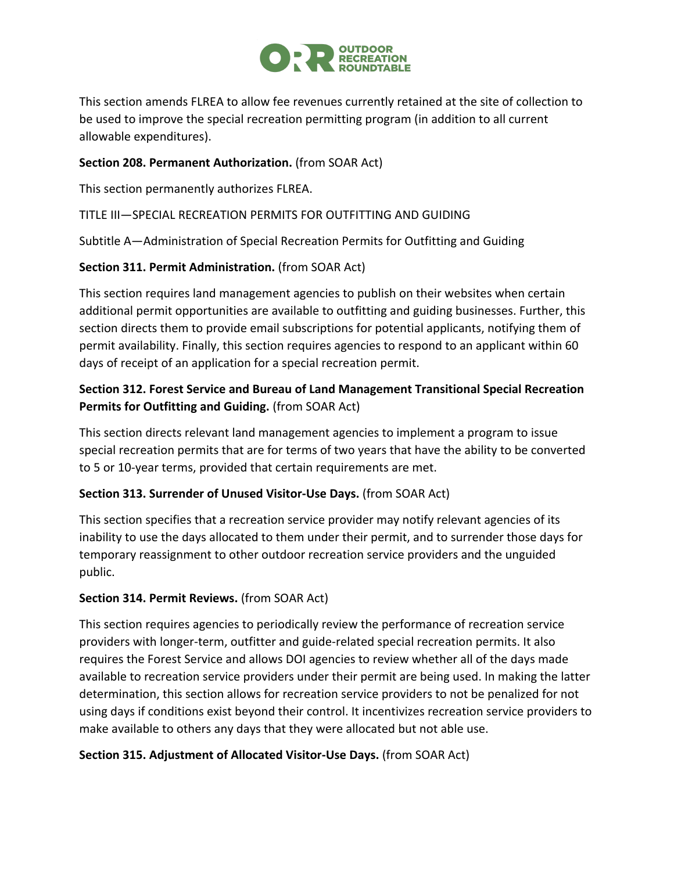

This section amends FLREA to allow fee revenues currently retained at the site of collection to be used to improve the special recreation permitting program (in addition to all current allowable expenditures).

## **Section 208. Permanent Authorization.** (from SOAR Act)

This section permanently authorizes FLREA.

## TITLE III—SPECIAL RECREATION PERMITS FOR OUTFITTING AND GUIDING

Subtitle A—Administration of Special Recreation Permits for Outfitting and Guiding

## **Section 311. Permit Administration.** (from SOAR Act)

This section requires land management agencies to publish on their websites when certain additional permit opportunities are available to outfitting and guiding businesses. Further, this section directs them to provide email subscriptions for potential applicants, notifying them of permit availability. Finally, this section requires agencies to respond to an applicant within 60 days of receipt of an application for a special recreation permit.

# **Section 312. Forest Service and Bureau of Land Management Transitional Special Recreation Permits for Outfitting and Guiding.** (from SOAR Act)

This section directs relevant land management agencies to implement a program to issue special recreation permits that are for terms of two years that have the ability to be converted to 5 or 10-year terms, provided that certain requirements are met.

## **Section 313. Surrender of Unused Visitor-Use Days.** (from SOAR Act)

This section specifies that a recreation service provider may notify relevant agencies of its inability to use the days allocated to them under their permit, and to surrender those days for temporary reassignment to other outdoor recreation service providers and the unguided public.

## **Section 314. Permit Reviews.** (from SOAR Act)

This section requires agencies to periodically review the performance of recreation service providers with longer-term, outfitter and guide-related special recreation permits. It also requires the Forest Service and allows DOI agencies to review whether all of the days made available to recreation service providers under their permit are being used. In making the latter determination, this section allows for recreation service providers to not be penalized for not using days if conditions exist beyond their control. It incentivizes recreation service providers to make available to others any days that they were allocated but not able use.

## **Section 315. Adjustment of Allocated Visitor-Use Days.** (from SOAR Act)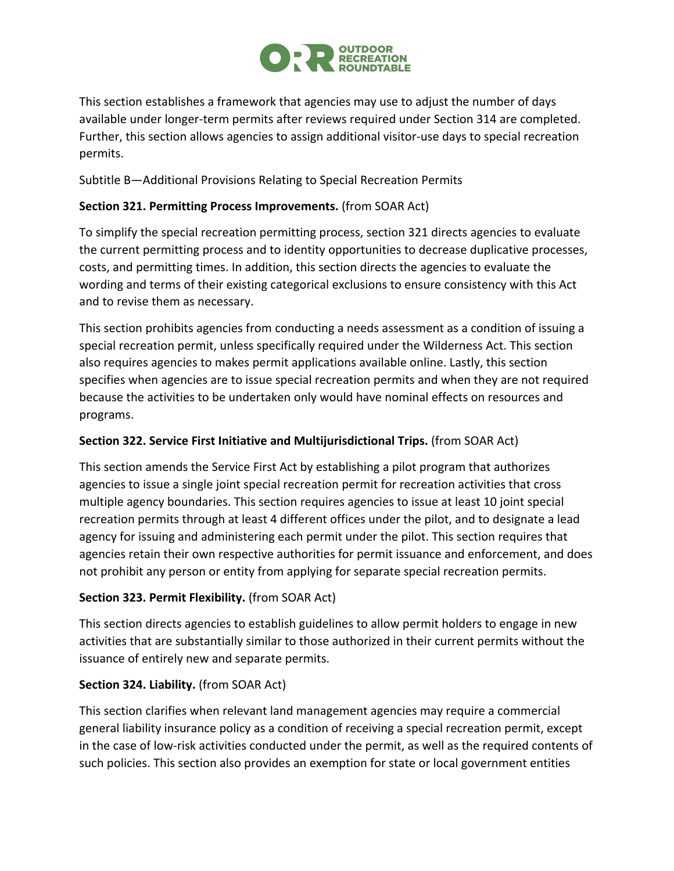

This section establishes a framework that agencies may use to adjust the number of days available under longer-term permits after reviews required under Section 314 are completed. Further, this section allows agencies to assign additional visitor-use days to special recreation permits.

Subtitle B—Additional Provisions Relating to Special Recreation Permits

## **Section 321. Permitting Process Improvements.** (from SOAR Act)

To simplify the special recreation permitting process, section 321 directs agencies to evaluate the current permitting process and to identity opportunities to decrease duplicative processes, costs, and permitting times. In addition, this section directs the agencies to evaluate the wording and terms of their existing categorical exclusions to ensure consistency with this Act and to revise them as necessary.

This section prohibits agencies from conducting a needs assessment as a condition of issuing a special recreation permit, unless specifically required under the Wilderness Act. This section also requires agencies to makes permit applications available online. Lastly, this section specifies when agencies are to issue special recreation permits and when they are not required because the activities to be undertaken only would have nominal effects on resources and programs.

## **Section 322. Service First Initiative and Multijurisdictional Trips.** (from SOAR Act)

This section amends the Service First Act by establishing a pilot program that authorizes agencies to issue a single joint special recreation permit for recreation activities that cross multiple agency boundaries. This section requires agencies to issue at least 10 joint special recreation permits through at least 4 different offices under the pilot, and to designate a lead agency for issuing and administering each permit under the pilot. This section requires that agencies retain their own respective authorities for permit issuance and enforcement, and does not prohibit any person or entity from applying for separate special recreation permits.

## **Section 323. Permit Flexibility.** (from SOAR Act)

This section directs agencies to establish guidelines to allow permit holders to engage in new activities that are substantially similar to those authorized in their current permits without the issuance of entirely new and separate permits.

## **Section 324. Liability.** (from SOAR Act)

This section clarifies when relevant land management agencies may require a commercial general liability insurance policy as a condition of receiving a special recreation permit, except in the case of low-risk activities conducted under the permit, as well as the required contents of such policies. This section also provides an exemption for state or local government entities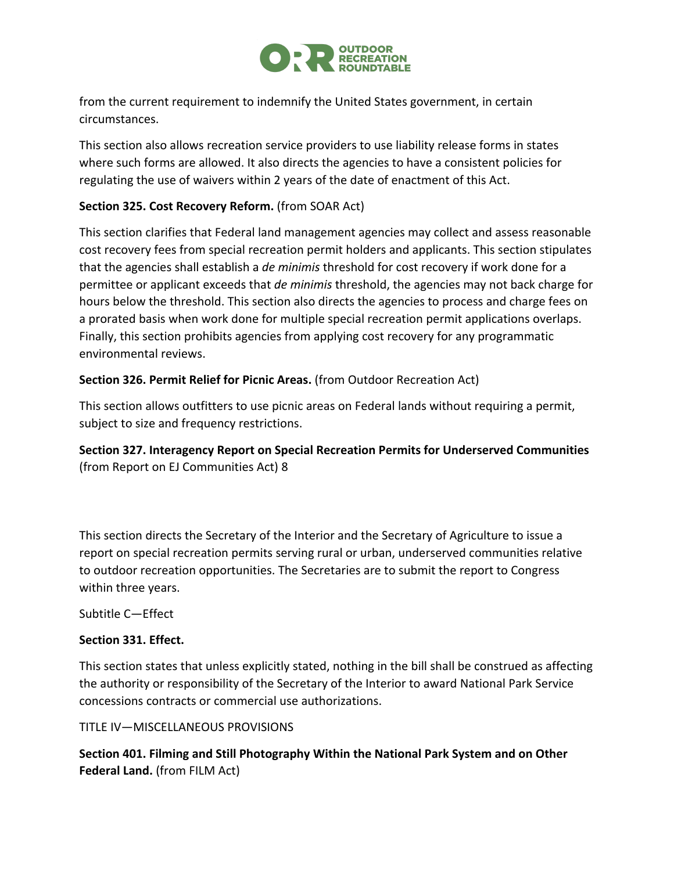

from the current requirement to indemnify the United States government, in certain circumstances.

This section also allows recreation service providers to use liability release forms in states where such forms are allowed. It also directs the agencies to have a consistent policies for regulating the use of waivers within 2 years of the date of enactment of this Act.

## **Section 325. Cost Recovery Reform.** (from SOAR Act)

This section clarifies that Federal land management agencies may collect and assess reasonable cost recovery fees from special recreation permit holders and applicants. This section stipulates that the agencies shall establish a *de minimis* threshold for cost recovery if work done for a permittee or applicant exceeds that *de minimis* threshold, the agencies may not back charge for hours below the threshold. This section also directs the agencies to process and charge fees on a prorated basis when work done for multiple special recreation permit applications overlaps. Finally, this section prohibits agencies from applying cost recovery for any programmatic environmental reviews.

## **Section 326. Permit Relief for Picnic Areas.** (from Outdoor Recreation Act)

This section allows outfitters to use picnic areas on Federal lands without requiring a permit, subject to size and frequency restrictions.

**Section 327. Interagency Report on Special Recreation Permits for Underserved Communities**  (from Report on EJ Communities Act) 8

This section directs the Secretary of the Interior and the Secretary of Agriculture to issue a report on special recreation permits serving rural or urban, underserved communities relative to outdoor recreation opportunities. The Secretaries are to submit the report to Congress within three years.

Subtitle C—Effect

## **Section 331. Effect.**

This section states that unless explicitly stated, nothing in the bill shall be construed as affecting the authority or responsibility of the Secretary of the Interior to award National Park Service concessions contracts or commercial use authorizations.

#### TITLE IV—MISCELLANEOUS PROVISIONS

**Section 401. Filming and Still Photography Within the National Park System and on Other Federal Land.** (from FILM Act)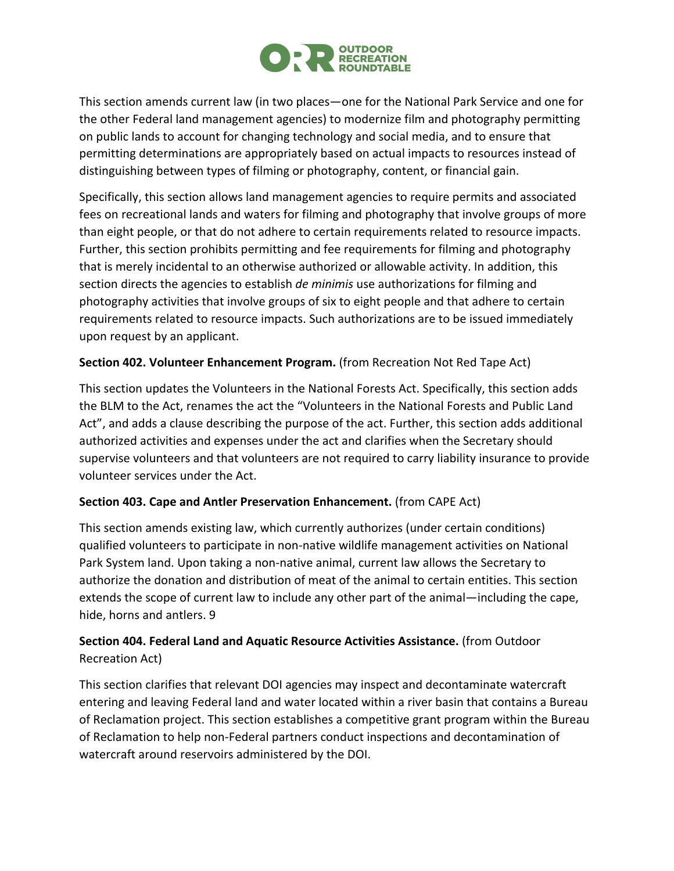

This section amends current law (in two places—one for the National Park Service and one for the other Federal land management agencies) to modernize film and photography permitting on public lands to account for changing technology and social media, and to ensure that permitting determinations are appropriately based on actual impacts to resources instead of distinguishing between types of filming or photography, content, or financial gain.

Specifically, this section allows land management agencies to require permits and associated fees on recreational lands and waters for filming and photography that involve groups of more than eight people, or that do not adhere to certain requirements related to resource impacts. Further, this section prohibits permitting and fee requirements for filming and photography that is merely incidental to an otherwise authorized or allowable activity. In addition, this section directs the agencies to establish *de minimis* use authorizations for filming and photography activities that involve groups of six to eight people and that adhere to certain requirements related to resource impacts. Such authorizations are to be issued immediately upon request by an applicant.

## **Section 402. Volunteer Enhancement Program.** (from Recreation Not Red Tape Act)

This section updates the Volunteers in the National Forests Act. Specifically, this section adds the BLM to the Act, renames the act the "Volunteers in the National Forests and Public Land Act", and adds a clause describing the purpose of the act. Further, this section adds additional authorized activities and expenses under the act and clarifies when the Secretary should supervise volunteers and that volunteers are not required to carry liability insurance to provide volunteer services under the Act.

## **Section 403. Cape and Antler Preservation Enhancement.** (from CAPE Act)

This section amends existing law, which currently authorizes (under certain conditions) qualified volunteers to participate in non-native wildlife management activities on National Park System land. Upon taking a non-native animal, current law allows the Secretary to authorize the donation and distribution of meat of the animal to certain entities. This section extends the scope of current law to include any other part of the animal—including the cape, hide, horns and antlers. 9

# **Section 404. Federal Land and Aquatic Resource Activities Assistance.** (from Outdoor Recreation Act)

This section clarifies that relevant DOI agencies may inspect and decontaminate watercraft entering and leaving Federal land and water located within a river basin that contains a Bureau of Reclamation project. This section establishes a competitive grant program within the Bureau of Reclamation to help non-Federal partners conduct inspections and decontamination of watercraft around reservoirs administered by the DOI.